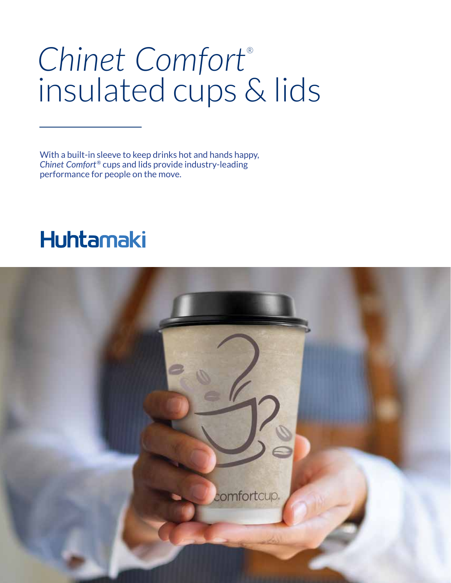# *Chinet Comfort*® insulated cups & lids

With a built-in sleeve to keep drinks hot and hands happy, *Chinet Comfort*® cups and lids provide industry-leading performance for people on the move.

### **Huhtamaki**